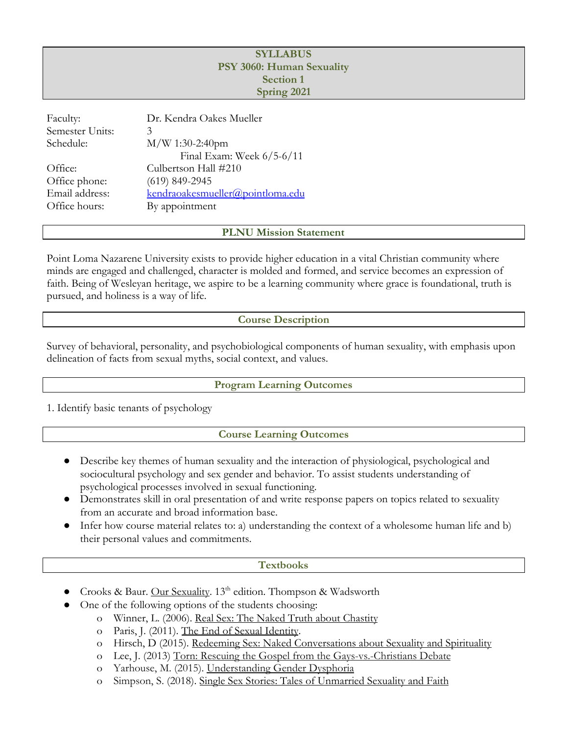### **SYLLABUS PSY 3060: Human Sexuality Section 1 Spring 2021**

| Faculty:<br>Semester Units: | Dr. Kendra Oakes Mueller<br>3    |
|-----------------------------|----------------------------------|
| Schedule:                   | $M/W$ 1:30-2:40pm                |
|                             | Final Exam: Week $6/5-6/11$      |
| Office:                     | Culbertson Hall #210             |
| Office phone:               | $(619)$ 849-2945                 |
| Email address:              | kendraoakesmueller@pointloma.edu |
| Office hours:               | By appointment                   |
|                             |                                  |

**PLNU Mission Statement**

Point Loma Nazarene University exists to provide higher education in a vital Christian community where minds are engaged and challenged, character is molded and formed, and service becomes an expression of faith. Being of Wesleyan heritage, we aspire to be a learning community where grace is foundational, truth is pursued, and holiness is a way of life.

### **Course Description**

Survey of behavioral, personality, and psychobiological components of human sexuality, with emphasis upon delineation of facts from sexual myths, social context, and values.

### **Program Learning Outcomes**

1. Identify basic tenants of psychology

### **Course Learning Outcomes**

- Describe key themes of human sexuality and the interaction of physiological, psychological and sociocultural psychology and sex gender and behavior. To assist students understanding of psychological processes involved in sexual functioning.
- Demonstrates skill in oral presentation of and write response papers on topics related to sexuality from an accurate and broad information base.
- Infer how course material relates to: a) understanding the context of a wholesome human life and b) their personal values and commitments.

### **Textbooks**

- Crooks & Baur. Our Sexuality. 13<sup>th</sup> edition. Thompson & Wadsworth
	- One of the following options of the students choosing:
		- o Winner, L. (2006). Real Sex: The Naked Truth about Chastity
		- o Paris, J. (2011). The End of Sexual Identity.
		- o Hirsch, D (2015). Redeeming Sex: Naked Conversations about Sexuality and Spirituality
		- o Lee, J. (2013) Torn: Rescuing the Gospel from the Gays-vs.-Christians Debate
		- o Yarhouse, M. (2015). Understanding Gender Dysphoria
		- o Simpson, S. (2018). Single Sex Stories: Tales of Unmarried Sexuality and Faith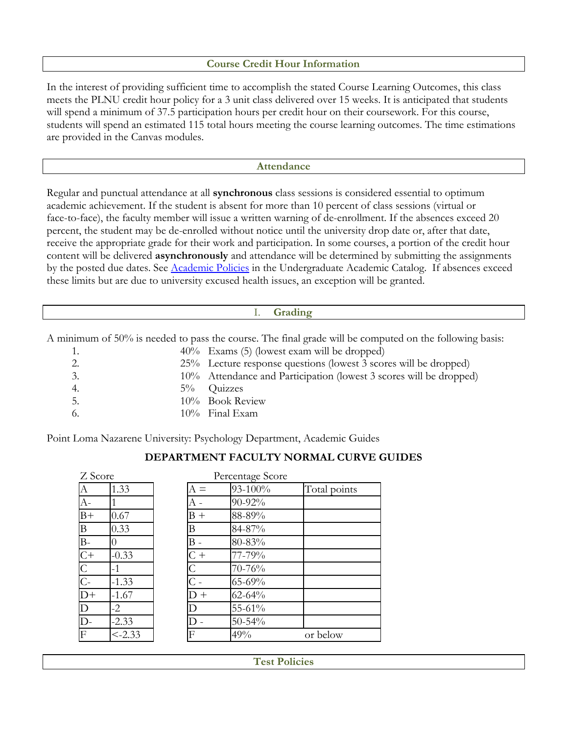### **Course Credit Hour Information**

In the interest of providing sufficient time to accomplish the stated Course Learning Outcomes, this class meets the PLNU credit hour policy for a 3 unit class delivered over 15 weeks. It is anticipated that students will spend a minimum of 37.5 participation hours per credit hour on their coursework. For this course, students will spend an estimated 115 total hours meeting the course learning outcomes. The time estimations are provided in the Canvas modules.

#### **Attendance**

Regular and punctual attendance at all **synchronous** class sessions is considered essential to optimum academic achievement. If the student is absent for more than 10 percent of class sessions (virtual or face-to-face), the faculty member will issue a written warning of de-enrollment. If the absences exceed 20 percent, the student may be de-enrolled without notice until the university drop date or, after that date, receive the appropriate grade for their work and participation. In some courses, a portion of the credit hour content will be delivered **asynchronously** and attendance will be determined by submitting the assignments by the posted due dates. See [Academic Policies](https://catalog.pointloma.edu/content.php?catoid=46&navoid=2650#Class_Attendance) in the Undergraduate Academic Catalog. If absences exceed these limits but are due to university excused health issues, an exception will be granted.

### I. **Grading**

A minimum of 50% is needed to pass the course. The final grade will be computed on the following basis:

| 1.          | $40\%$ Exams (5) (lowest exam will be dropped)                     |
|-------------|--------------------------------------------------------------------|
| 2.          | 25% Lecture response questions (lowest 3 scores will be dropped)   |
| 3.          | 10% Attendance and Participation (lowest 3 scores will be dropped) |
| 4.<br>$5\%$ | Quizzes                                                            |
| 5.          | 10% Book Review                                                    |
| 6.          | $10\%$ Final Exam                                                  |

Point Loma Nazarene University: Psychology Department, Academic Guides

### **DEPARTMENT FACULTY NORMAL CURVE GUIDES**

| Z Score          |           |          | Percentage Score |              |
|------------------|-----------|----------|------------------|--------------|
| А                | 1.33      | $\equiv$ | 93-100%          | Total points |
| $A-$             |           |          | 90-92%           |              |
| $B+$             | 0.67      | $B +$    | 88-89%           |              |
| B                | 0.33      | В        | 84-87%           |              |
| $B-$             |           | В -      | 80-83%           |              |
| $C+$             | $-0.33$   | C +      | 77-79%           |              |
|                  | $-1$      |          | 70-76%           |              |
| $rac{C}{C}$      | $-1.33$   |          | 65-69%           |              |
| $\overline{D+}$  | $-1.67$   | $D +$    | 62-64%           |              |
| D                | $-2$      |          | 55-61%           |              |
| $\overline{D}$ - | $-2.33$   |          | $50 - 54\%$      |              |
| F                | $< -2.33$ | F        | 49%              | or below     |

**Test Policies**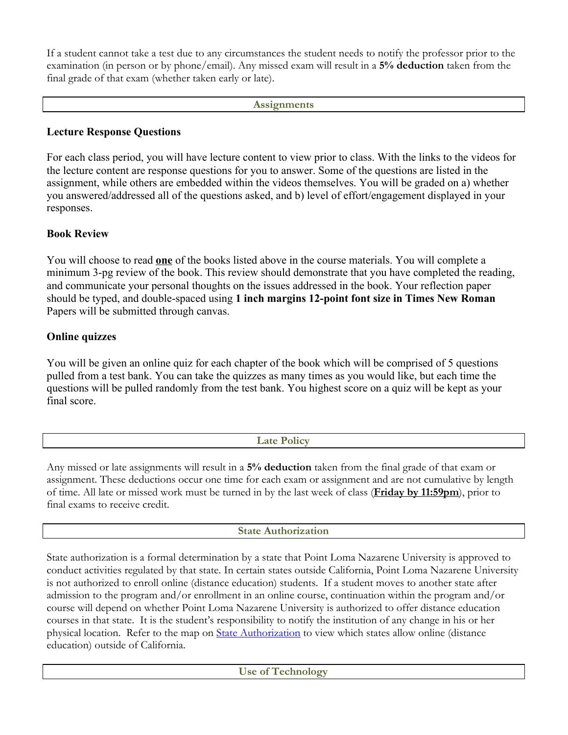If a student cannot take a test due to any circumstances the student needs to notify the professor prior to the examination (in person or by phone/email). Any missed exam will result in a **5% deduction** taken from the final grade of that exam (whether taken early or late).

### **Assignments**

## **Lecture Response Questions**

For each class period, you will have lecture content to view prior to class. With the links to the videos for the lecture content are response questions for you to answer. Some of the questions are listed in the assignment, while others are embedded within the videos themselves. You will be graded on a) whether you answered/addressed all of the questions asked, and b) level of effort/engagement displayed in your responses.

## **Book Review**

You will choose to read **one** of the books listed above in the course materials. You will complete a minimum 3-pg review of the book. This review should demonstrate that you have completed the reading, and communicate your personal thoughts on the issues addressed in the book. Your reflection paper should be typed, and double-spaced using **1 inch margins 12-point font size in Times New Roman** Papers will be submitted through canvas.

# **Online quizzes**

You will be given an online quiz for each chapter of the book which will be comprised of 5 questions pulled from a test bank. You can take the quizzes as many times as you would like, but each time the questions will be pulled randomly from the test bank. You highest score on a quiz will be kept as your final score.

| $\overline{\phantom{a}}$ |  |
|--------------------------|--|
|                          |  |
|                          |  |

Any missed or late assignments will result in a **5% deduction** taken from the final grade of that exam or assignment. These deductions occur one time for each exam or assignment and are not cumulative by length of time. All late or missed work must be turned in by the last week of class (**Friday by 11:59pm**), prior to final exams to receive credit.

# **State Authorization**

State authorization is a formal determination by a state that Point Loma Nazarene University is approved to conduct activities regulated by that state. In certain states outside California, Point Loma Nazarene University is not authorized to enroll online (distance education) students. If a student moves to another state after admission to the program and/or enrollment in an online course, continuation within the program and/or course will depend on whether Point Loma Nazarene University is authorized to offer distance education courses in that state. It is the student's responsibility to notify the institution of any change in his or her physical location. Refer to the map on **State Authorization** to view which states allow online (distance education) outside of California.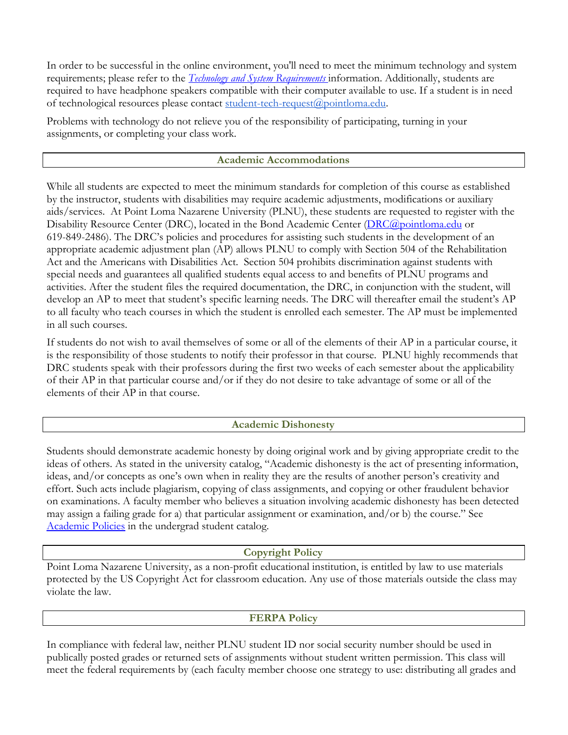In order to be successful in the online environment, you'll need to meet the minimum technology and system requirements; please refer to the *[Technology and System Requirements](https://help.pointloma.edu/TDClient/1808/Portal/KB/ArticleDet?ID=108349)* information. Additionally, students are required to have headphone speakers compatible with their computer available to use. If a student is in need of technological resources please contact [student-tech-request@pointloma.edu](mailto:student-tech-request@pointloma.edu).

Problems with technology do not relieve you of the responsibility of participating, turning in your assignments, or completing your class work.

### **Academic Accommodations**

While all students are expected to meet the minimum standards for completion of this course as established by the instructor, students with disabilities may require academic adjustments, modifications or auxiliary aids/services. At Point Loma Nazarene University (PLNU), these students are requested to register with the Disability Resource Center (DRC), located in the Bond Academic Center ([DRC@pointloma.edu](mailto:DRC@pointloma.edu) or 619-849-2486). The DRC's policies and procedures for assisting such students in the development of an appropriate academic adjustment plan (AP) allows PLNU to comply with Section 504 of the Rehabilitation Act and the Americans with Disabilities Act. Section 504 prohibits discrimination against students with special needs and guarantees all qualified students equal access to and benefits of PLNU programs and activities. After the student files the required documentation, the DRC, in conjunction with the student, will develop an AP to meet that student's specific learning needs. The DRC will thereafter email the student's AP to all faculty who teach courses in which the student is enrolled each semester. The AP must be implemented in all such courses.

If students do not wish to avail themselves of some or all of the elements of their AP in a particular course, it is the responsibility of those students to notify their professor in that course. PLNU highly recommends that DRC students speak with their professors during the first two weeks of each semester about the applicability of their AP in that particular course and/or if they do not desire to take advantage of some or all of the elements of their AP in that course.

### **Academic Dishonesty**

Students should demonstrate academic honesty by doing original work and by giving appropriate credit to the ideas of others. As stated in the university catalog, "Academic dishonesty is the act of presenting information, ideas, and/or concepts as one's own when in reality they are the results of another person's creativity and effort. Such acts include plagiarism, copying of class assignments, and copying or other fraudulent behavior on examinations. A faculty member who believes a situation involving academic dishonesty has been detected may assign a failing grade for a) that particular assignment or examination, and/or b) the course." See [Academic Policies](http://www.pointloma.edu/experience/academics/catalogs/undergraduate-catalog/point-loma-education/academic-policies) in the undergrad student catalog.

### **Copyright Policy**

Point Loma Nazarene University, as a non-profit educational institution, is entitled by law to use materials protected by the US Copyright Act for classroom education. Any use of those materials outside the class may violate the law.

### **FERPA Policy**

In compliance with federal law, neither PLNU student ID nor social security number should be used in publically posted grades or returned sets of assignments without student written permission. This class will meet the federal requirements by (each faculty member choose one strategy to use: distributing all grades and